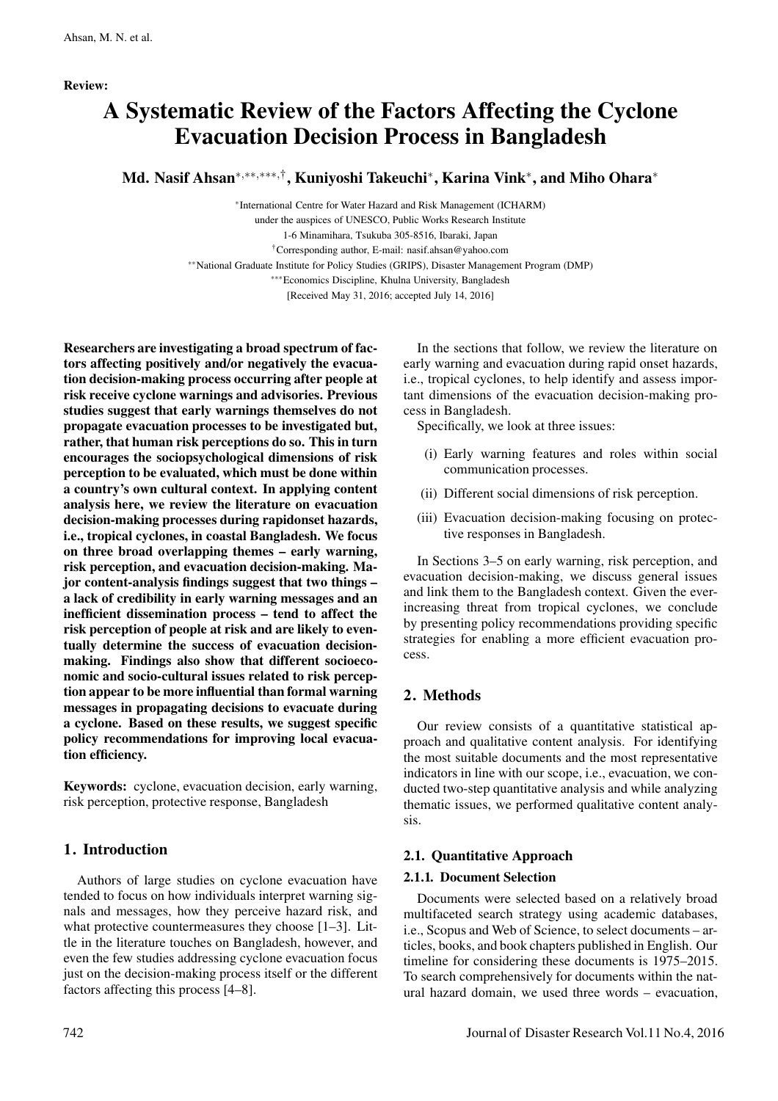# A Systematic Review of the Factors Affecting the Cyclone Evacuation Decision Process in Bangladesh

Md. Nasif Ahsan∗*,*∗∗*,*∗∗∗*,*†, Kuniyoshi Takeuchi∗, Karina Vink∗, and Miho Ohara<sup>∗</sup>

∗International Centre for Water Hazard and Risk Management (ICHARM) under the auspices of UNESCO, Public Works Research Institute 1-6 Minamihara, Tsukuba 305-8516, Ibaraki, Japan †Corresponding author, E-mail: nasif.ahsan@yahoo.com ∗∗National Graduate Institute for Policy Studies (GRIPS), Disaster Management Program (DMP) ∗∗∗Economics Discipline, Khulna University, Bangladesh

[Received May 31, 2016; accepted July 14, 2016]

Researchers are investigating a broad spectrum of factors affecting positively and/or negatively the evacuation decision-making process occurring after people at risk receive cyclone warnings and advisories. Previous studies suggest that early warnings themselves do not propagate evacuation processes to be investigated but, rather, that human risk perceptions do so. This in turn encourages the sociopsychological dimensions of risk perception to be evaluated, which must be done within a country's own cultural context. In applying content analysis here, we review the literature on evacuation decision-making processes during rapidonset hazards, i.e., tropical cyclones, in coastal Bangladesh. We focus on three broad overlapping themes – early warning, risk perception, and evacuation decision-making. Major content-analysis findings suggest that two things – a lack of credibility in early warning messages and an inefficient dissemination process – tend to affect the risk perception of people at risk and are likely to eventually determine the success of evacuation decisionmaking. Findings also show that different socioeconomic and socio-cultural issues related to risk perception appear to be more influential than formal warning messages in propagating decisions to evacuate during a cyclone. Based on these results, we suggest specific policy recommendations for improving local evacuation efficiency.

Keywords: cyclone, evacuation decision, early warning, risk perception, protective response, Bangladesh

# 1. Introduction

Authors of large studies on cyclone evacuation have tended to focus on how individuals interpret warning signals and messages, how they perceive hazard risk, and what protective countermeasures they choose [1–3]. Little in the literature touches on Bangladesh, however, and even the few studies addressing cyclone evacuation focus just on the decision-making process itself or the different factors affecting this process [4–8].

In the sections that follow, we review the literature on early warning and evacuation during rapid onset hazards, i.e., tropical cyclones, to help identify and assess important dimensions of the evacuation decision-making process in Bangladesh.

Specifically, we look at three issues:

- (i) Early warning features and roles within social communication processes.
- (ii) Different social dimensions of risk perception.
- (iii) Evacuation decision-making focusing on protective responses in Bangladesh.

In Sections 3–5 on early warning, risk perception, and evacuation decision-making, we discuss general issues and link them to the Bangladesh context. Given the everincreasing threat from tropical cyclones, we conclude by presenting policy recommendations providing specific strategies for enabling a more efficient evacuation process.

# 2. Methods

Our review consists of a quantitative statistical approach and qualitative content analysis. For identifying the most suitable documents and the most representative indicators in line with our scope, i.e., evacuation, we conducted two-step quantitative analysis and while analyzing thematic issues, we performed qualitative content analysis.

# 2.1. Quantitative Approach

### 2.1.1. Document Selection

Documents were selected based on a relatively broad multifaceted search strategy using academic databases, i.e., Scopus and Web of Science, to select documents – articles, books, and book chapters published in English. Our timeline for considering these documents is 1975–2015. To search comprehensively for documents within the natural hazard domain, we used three words – evacuation,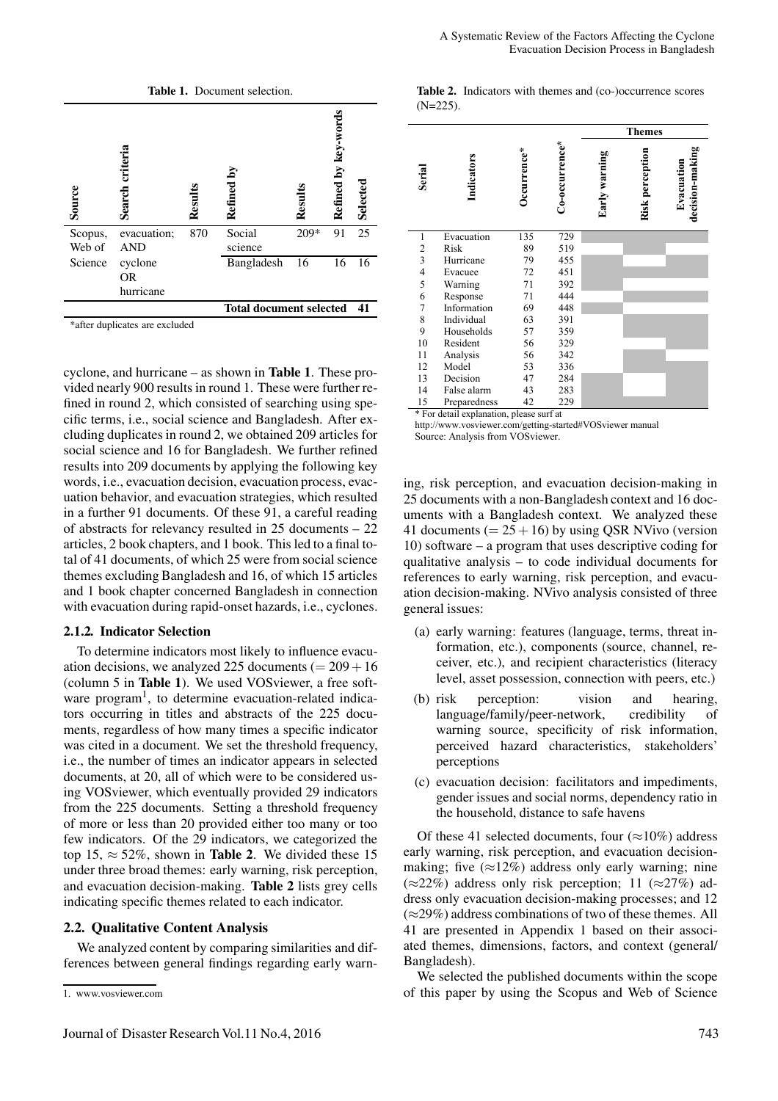

\*after duplicates are excluded

cyclone, and hurricane – as shown in Table 1. These provided nearly 900 results in round 1. These were further refined in round 2, which consisted of searching using specific terms, i.e., social science and Bangladesh. After excluding duplicates in round 2, we obtained 209 articles for social science and 16 for Bangladesh. We further refined results into 209 documents by applying the following key words, i.e., evacuation decision, evacuation process, evacuation behavior, and evacuation strategies, which resulted in a further 91 documents. Of these 91, a careful reading of abstracts for relevancy resulted in 25 documents – 22 articles, 2 book chapters, and 1 book. This led to a final total of 41 documents, of which 25 were from social science themes excluding Bangladesh and 16, of which 15 articles and 1 book chapter concerned Bangladesh in connection with evacuation during rapid-onset hazards, i.e., cyclones.

#### 2.1.2. Indicator Selection

To determine indicators most likely to influence evacuation decisions, we analyzed 225 documents ( $= 209 + 16$ ) (column 5 in Table 1). We used VOSviewer, a free software program<sup>1</sup>, to determine evacuation-related indicators occurring in titles and abstracts of the 225 documents, regardless of how many times a specific indicator was cited in a document. We set the threshold frequency, i.e., the number of times an indicator appears in selected documents, at 20, all of which were to be considered using VOSviewer, which eventually provided 29 indicators from the 225 documents. Setting a threshold frequency of more or less than 20 provided either too many or too few indicators. Of the 29 indicators, we categorized the top 15,  $\approx$  52%, shown in **Table 2**. We divided these 15 under three broad themes: early warning, risk perception, and evacuation decision-making. Table 2 lists grey cells indicating specific themes related to each indicator.

### 2.2. Qualitative Content Analysis

We analyzed content by comparing similarities and differences between general findings regarding early warn-

|             | Table 2. Indicators with themes and (co-)occurrence scores |  |  |  |
|-------------|------------------------------------------------------------|--|--|--|
| $(N=225)$ . |                                                            |  |  |  |

|                         |              |             |                |               | <b>Themes</b>   |                               |
|-------------------------|--------------|-------------|----------------|---------------|-----------------|-------------------------------|
| Serial                  | Indicators   | Occurrence* | Co-occurrence* | Early warning | Risk perception | decision-making<br>Evacuation |
| 1                       | Evacuation   | 135         | 729            |               |                 |                               |
| $\frac{2}{3}$           | Risk         | 89          | 519            |               |                 |                               |
|                         | Hurricane    | 79          | 455            |               |                 |                               |
| $\overline{\mathbf{4}}$ | Evacuee      | 72          | 451            |               |                 |                               |
| 5                       | Warning      | 71          | 392            |               |                 |                               |
| 6                       | Response     | 71          | 444            |               |                 |                               |
| 7                       | Information  | 69          | 448            |               |                 |                               |
| 8                       | Individual   | 63          | 391            |               |                 |                               |
| 9                       | Households   | 57          | 359            |               |                 |                               |
| 10                      | Resident     | 56          | 329            |               |                 |                               |
| 11                      | Analysis     | 56          | 342            |               |                 |                               |
| 12                      | Model        | 53          | 336            |               |                 |                               |
| 13                      | Decision     | 47          | 284            |               |                 |                               |
| 14                      | False alarm  | 43          | 283            |               |                 |                               |
| 15                      | Preparedness | 42          | 229            |               |                 |                               |

\* For detail explanation, please surf at

http://www.vosviewer.com/getting-started#VOSviewer manual Source: Analysis from VOSviewer.

ing, risk perception, and evacuation decision-making in 25 documents with a non-Bangladesh context and 16 documents with a Bangladesh context. We analyzed these 41 documents ( $= 25 + 16$ ) by using QSR NVivo (version 10) software – a program that uses descriptive coding for qualitative analysis – to code individual documents for references to early warning, risk perception, and evacuation decision-making. NVivo analysis consisted of three general issues:

- (a) early warning: features (language, terms, threat information, etc.), components (source, channel, receiver, etc.), and recipient characteristics (literacy level, asset possession, connection with peers, etc.)
- (b) risk perception: vision and hearing, language/family/peer-network, credibility of warning source, specificity of risk information, perceived hazard characteristics, stakeholders' perceptions
- (c) evacuation decision: facilitators and impediments, gender issues and social norms, dependency ratio in the household, distance to safe havens

Of these 41 selected documents, four  $(\approx 10\%)$  address early warning, risk perception, and evacuation decisionmaking; five  $(\approx 12\%)$  address only early warning; nine  $(\approx 22\%)$  address only risk perception; 11 ( $\approx 27\%$ ) address only evacuation decision-making processes; and 12  $(\approx 29\%)$  address combinations of two of these themes. All 41 are presented in Appendix 1 based on their associated themes, dimensions, factors, and context (general/ Bangladesh).

We selected the published documents within the scope of this paper by using the Scopus and Web of Science

<sup>1.</sup> www.vosviewer.com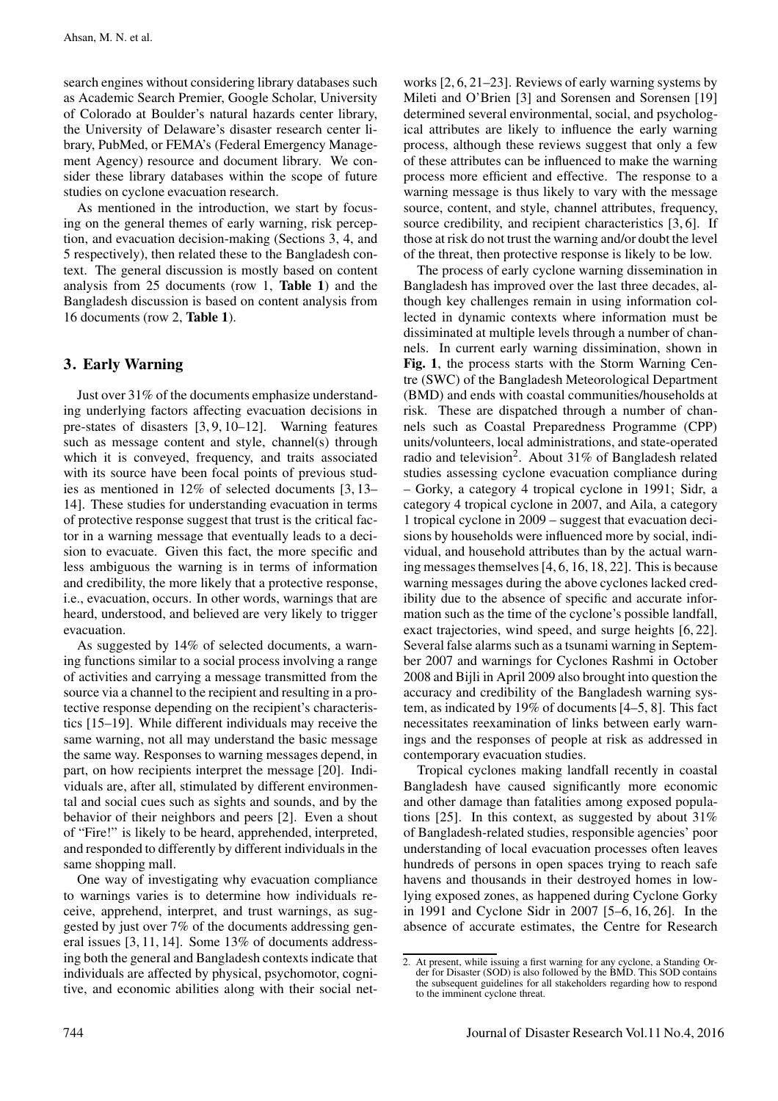search engines without considering library databases such as Academic Search Premier, Google Scholar, University of Colorado at Boulder's natural hazards center library, the University of Delaware's disaster research center library, PubMed, or FEMA's (Federal Emergency Management Agency) resource and document library. We consider these library databases within the scope of future studies on cyclone evacuation research.

As mentioned in the introduction, we start by focusing on the general themes of early warning, risk perception, and evacuation decision-making (Sections 3, 4, and 5 respectively), then related these to the Bangladesh context. The general discussion is mostly based on content analysis from 25 documents (row 1, Table 1) and the Bangladesh discussion is based on content analysis from 16 documents (row 2, Table 1).

## 3. Early Warning

Just over 31% of the documents emphasize understanding underlying factors affecting evacuation decisions in pre-states of disasters [3, 9, 10–12]. Warning features such as message content and style, channel(s) through which it is conveyed, frequency, and traits associated with its source have been focal points of previous studies as mentioned in 12% of selected documents [3, 13– 14]. These studies for understanding evacuation in terms of protective response suggest that trust is the critical factor in a warning message that eventually leads to a decision to evacuate. Given this fact, the more specific and less ambiguous the warning is in terms of information and credibility, the more likely that a protective response, i.e., evacuation, occurs. In other words, warnings that are heard, understood, and believed are very likely to trigger evacuation.

As suggested by 14% of selected documents, a warning functions similar to a social process involving a range of activities and carrying a message transmitted from the source via a channel to the recipient and resulting in a protective response depending on the recipient's characteristics [15–19]. While different individuals may receive the same warning, not all may understand the basic message the same way. Responses to warning messages depend, in part, on how recipients interpret the message [20]. Individuals are, after all, stimulated by different environmental and social cues such as sights and sounds, and by the behavior of their neighbors and peers [2]. Even a shout of "Fire!" is likely to be heard, apprehended, interpreted, and responded to differently by different individuals in the same shopping mall.

One way of investigating why evacuation compliance to warnings varies is to determine how individuals receive, apprehend, interpret, and trust warnings, as suggested by just over 7% of the documents addressing general issues [3, 11, 14]. Some 13% of documents addressing both the general and Bangladesh contexts indicate that individuals are affected by physical, psychomotor, cognitive, and economic abilities along with their social networks [2, 6, 21–23]. Reviews of early warning systems by Mileti and O'Brien [3] and Sorensen and Sorensen [19] determined several environmental, social, and psychological attributes are likely to influence the early warning process, although these reviews suggest that only a few of these attributes can be influenced to make the warning process more efficient and effective. The response to a warning message is thus likely to vary with the message source, content, and style, channel attributes, frequency, source credibility, and recipient characteristics [3, 6]. If those at risk do not trust the warning and/or doubt the level of the threat, then protective response is likely to be low.

The process of early cyclone warning dissemination in Bangladesh has improved over the last three decades, although key challenges remain in using information collected in dynamic contexts where information must be dissiminated at multiple levels through a number of channels. In current early warning dissimination, shown in Fig. 1, the process starts with the Storm Warning Centre (SWC) of the Bangladesh Meteorological Department (BMD) and ends with coastal communities/households at risk. These are dispatched through a number of channels such as Coastal Preparedness Programme (CPP) units/volunteers, local administrations, and state-operated radio and television<sup>2</sup>. About 31% of Bangladesh related studies assessing cyclone evacuation compliance during – Gorky, a category 4 tropical cyclone in 1991; Sidr, a category 4 tropical cyclone in 2007, and Aila, a category 1 tropical cyclone in 2009 – suggest that evacuation decisions by households were influenced more by social, individual, and household attributes than by the actual warning messages themselves [4, 6, 16, 18, 22]. This is because warning messages during the above cyclones lacked credibility due to the absence of specific and accurate information such as the time of the cyclone's possible landfall, exact trajectories, wind speed, and surge heights [6, 22]. Several false alarms such as a tsunami warning in September 2007 and warnings for Cyclones Rashmi in October 2008 and Bijli in April 2009 also brought into question the accuracy and credibility of the Bangladesh warning system, as indicated by 19% of documents [4–5, 8]. This fact necessitates reexamination of links between early warnings and the responses of people at risk as addressed in contemporary evacuation studies.

Tropical cyclones making landfall recently in coastal Bangladesh have caused significantly more economic and other damage than fatalities among exposed populations [25]. In this context, as suggested by about 31% of Bangladesh-related studies, responsible agencies' poor understanding of local evacuation processes often leaves hundreds of persons in open spaces trying to reach safe havens and thousands in their destroyed homes in lowlying exposed zones, as happened during Cyclone Gorky in 1991 and Cyclone Sidr in 2007 [5–6, 16, 26]. In the absence of accurate estimates, the Centre for Research

<sup>2.</sup> At present, while issuing a first warning for any cyclone, a Standing Order for Disaster (SOD) is also followed by the BMD. This SOD contains the subsequent guidelines for all stakeholders regarding how to respond to the imminent cyclone threat.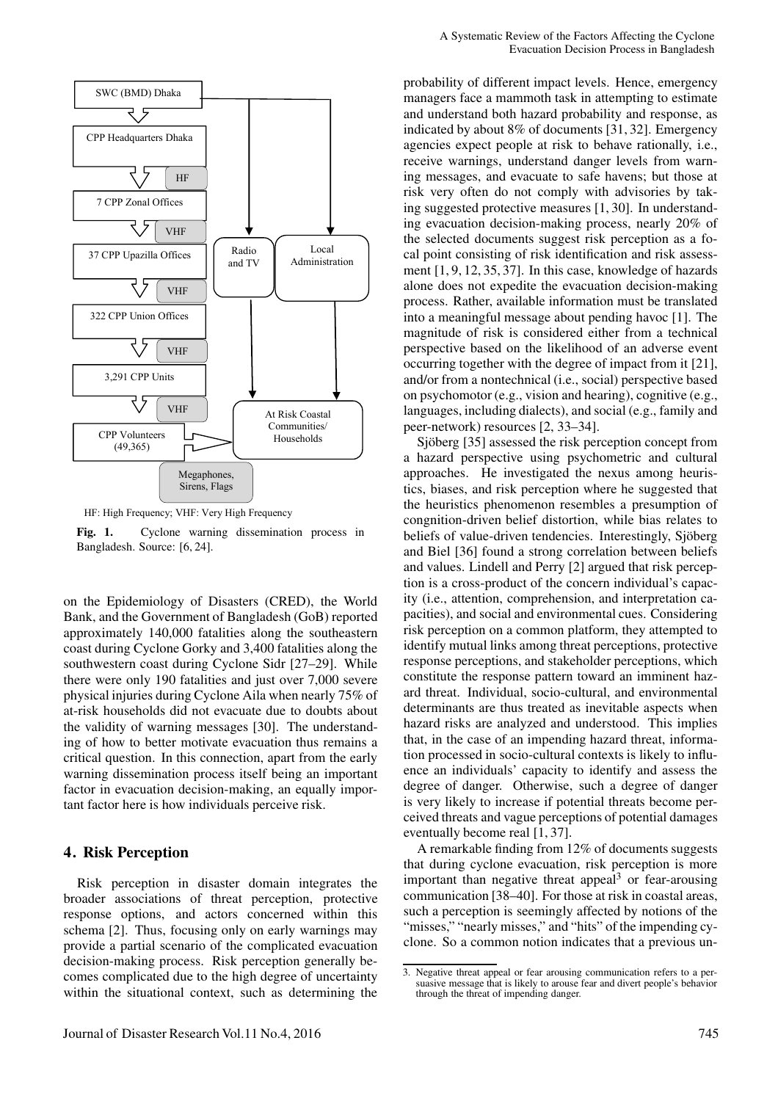

HF: High Frequency; VHF: Very High Frequency

Fig. 1. Cyclone warning dissemination process in Bangladesh. Source: [6, 24].

on the Epidemiology of Disasters (CRED), the World Bank, and the Government of Bangladesh (GoB) reported approximately 140,000 fatalities along the southeastern coast during Cyclone Gorky and 3,400 fatalities along the southwestern coast during Cyclone Sidr [27–29]. While there were only 190 fatalities and just over 7,000 severe physical injuries during Cyclone Aila when nearly 75% of at-risk households did not evacuate due to doubts about the validity of warning messages [30]. The understanding of how to better motivate evacuation thus remains a critical question. In this connection, apart from the early warning dissemination process itself being an important factor in evacuation decision-making, an equally important factor here is how individuals perceive risk.

### 4. Risk Perception

Risk perception in disaster domain integrates the broader associations of threat perception, protective response options, and actors concerned within this schema [2]. Thus, focusing only on early warnings may provide a partial scenario of the complicated evacuation decision-making process. Risk perception generally becomes complicated due to the high degree of uncertainty within the situational context, such as determining the

probability of different impact levels. Hence, emergency managers face a mammoth task in attempting to estimate and understand both hazard probability and response, as indicated by about 8% of documents [31, 32]. Emergency agencies expect people at risk to behave rationally, i.e., receive warnings, understand danger levels from warning messages, and evacuate to safe havens; but those at risk very often do not comply with advisories by taking suggested protective measures [1, 30]. In understanding evacuation decision-making process, nearly 20% of the selected documents suggest risk perception as a focal point consisting of risk identification and risk assessment [1, 9, 12, 35, 37]. In this case, knowledge of hazards alone does not expedite the evacuation decision-making process. Rather, available information must be translated into a meaningful message about pending havoc [1]. The magnitude of risk is considered either from a technical perspective based on the likelihood of an adverse event occurring together with the degree of impact from it [21], and/or from a nontechnical (i.e., social) perspective based on psychomotor (e.g., vision and hearing), cognitive (e.g., languages, including dialects), and social (e.g., family and peer-network) resources [2, 33–34].

Sjöberg [35] assessed the risk perception concept from a hazard perspective using psychometric and cultural approaches. He investigated the nexus among heuristics, biases, and risk perception where he suggested that the heuristics phenomenon resembles a presumption of congnition-driven belief distortion, while bias relates to beliefs of value-driven tendencies. Interestingly, Sjöberg and Biel [36] found a strong correlation between beliefs and values. Lindell and Perry [2] argued that risk perception is a cross-product of the concern individual's capacity (i.e., attention, comprehension, and interpretation capacities), and social and environmental cues. Considering risk perception on a common platform, they attempted to identify mutual links among threat perceptions, protective response perceptions, and stakeholder perceptions, which constitute the response pattern toward an imminent hazard threat. Individual, socio-cultural, and environmental determinants are thus treated as inevitable aspects when hazard risks are analyzed and understood. This implies that, in the case of an impending hazard threat, information processed in socio-cultural contexts is likely to influence an individuals' capacity to identify and assess the degree of danger. Otherwise, such a degree of danger is very likely to increase if potential threats become perceived threats and vague perceptions of potential damages eventually become real [1, 37].

A remarkable finding from 12% of documents suggests that during cyclone evacuation, risk perception is more important than negative threat appeal<sup>3</sup> or fear-arousing communication [38–40]. For those at risk in coastal areas, such a perception is seemingly affected by notions of the "misses," "nearly misses," and "hits" of the impending cyclone. So a common notion indicates that a previous un-

<sup>3.</sup> Negative threat appeal or fear arousing communication refers to a persuasive message that is likely to arouse fear and divert people's behavior through the threat of impending danger.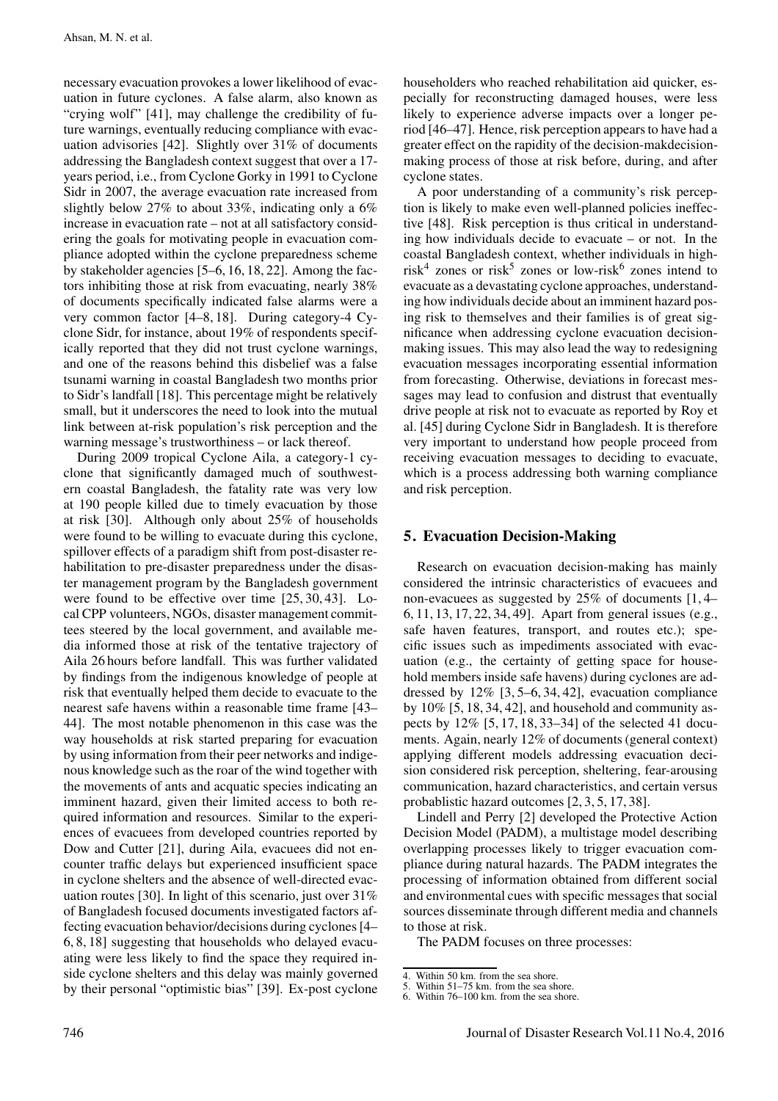necessary evacuation provokes a lower likelihood of evacuation in future cyclones. A false alarm, also known as "crying wolf" [41], may challenge the credibility of future warnings, eventually reducing compliance with evacuation advisories [42]. Slightly over 31% of documents addressing the Bangladesh context suggest that over a 17 years period, i.e., from Cyclone Gorky in 1991 to Cyclone Sidr in 2007, the average evacuation rate increased from slightly below 27% to about 33%, indicating only a 6% increase in evacuation rate – not at all satisfactory considering the goals for motivating people in evacuation compliance adopted within the cyclone preparedness scheme by stakeholder agencies [5–6, 16, 18, 22]. Among the factors inhibiting those at risk from evacuating, nearly 38% of documents specifically indicated false alarms were a very common factor [4–8, 18]. During category-4 Cyclone Sidr, for instance, about 19% of respondents specifically reported that they did not trust cyclone warnings, and one of the reasons behind this disbelief was a false tsunami warning in coastal Bangladesh two months prior to Sidr's landfall [18]. This percentage might be relatively small, but it underscores the need to look into the mutual link between at-risk population's risk perception and the warning message's trustworthiness – or lack thereof.

During 2009 tropical Cyclone Aila, a category-1 cyclone that significantly damaged much of southwestern coastal Bangladesh, the fatality rate was very low at 190 people killed due to timely evacuation by those at risk [30]. Although only about 25% of households were found to be willing to evacuate during this cyclone, spillover effects of a paradigm shift from post-disaster rehabilitation to pre-disaster preparedness under the disaster management program by the Bangladesh government were found to be effective over time [25, 30, 43]. Local CPP volunteers, NGOs, disaster management committees steered by the local government, and available media informed those at risk of the tentative trajectory of Aila 26 hours before landfall. This was further validated by findings from the indigenous knowledge of people at risk that eventually helped them decide to evacuate to the nearest safe havens within a reasonable time frame [43– 44]. The most notable phenomenon in this case was the way households at risk started preparing for evacuation by using information from their peer networks and indigenous knowledge such as the roar of the wind together with the movements of ants and acquatic species indicating an imminent hazard, given their limited access to both required information and resources. Similar to the experiences of evacuees from developed countries reported by Dow and Cutter [21], during Aila, evacuees did not encounter traffic delays but experienced insufficient space in cyclone shelters and the absence of well-directed evacuation routes [30]. In light of this scenario, just over 31% of Bangladesh focused documents investigated factors affecting evacuation behavior/decisions during cyclones [4– 6, 8, 18] suggesting that households who delayed evacuating were less likely to find the space they required inside cyclone shelters and this delay was mainly governed by their personal "optimistic bias" [39]. Ex-post cyclone householders who reached rehabilitation aid quicker, especially for reconstructing damaged houses, were less likely to experience adverse impacts over a longer period [46–47]. Hence, risk perception appears to have had a greater effect on the rapidity of the decision-makdecisionmaking process of those at risk before, during, and after cyclone states.

A poor understanding of a community's risk perception is likely to make even well-planned policies ineffective [48]. Risk perception is thus critical in understanding how individuals decide to evacuate – or not. In the coastal Bangladesh context, whether individuals in highrisk<sup>4</sup> zones or risk<sup>5</sup> zones or low-risk<sup>6</sup> zones intend to evacuate as a devastating cyclone approaches, understanding how individuals decide about an imminent hazard posing risk to themselves and their families is of great significance when addressing cyclone evacuation decisionmaking issues. This may also lead the way to redesigning evacuation messages incorporating essential information from forecasting. Otherwise, deviations in forecast messages may lead to confusion and distrust that eventually drive people at risk not to evacuate as reported by Roy et al. [45] during Cyclone Sidr in Bangladesh. It is therefore very important to understand how people proceed from receiving evacuation messages to deciding to evacuate, which is a process addressing both warning compliance and risk perception.

### 5. Evacuation Decision-Making

Research on evacuation decision-making has mainly considered the intrinsic characteristics of evacuees and non-evacuees as suggested by 25% of documents [1, 4– 6, 11, 13, 17, 22, 34, 49]. Apart from general issues (e.g., safe haven features, transport, and routes etc.); specific issues such as impediments associated with evacuation (e.g., the certainty of getting space for household members inside safe havens) during cyclones are addressed by 12% [3, 5–6, 34, 42], evacuation compliance by  $10\%$  [5, 18, 34, 42], and household and community aspects by 12% [5, 17, 18, 33–34] of the selected 41 documents. Again, nearly 12% of documents (general context) applying different models addressing evacuation decision considered risk perception, sheltering, fear-arousing communication, hazard characteristics, and certain versus probablistic hazard outcomes [2, 3, 5, 17, 38].

Lindell and Perry [2] developed the Protective Action Decision Model (PADM), a multistage model describing overlapping processes likely to trigger evacuation compliance during natural hazards. The PADM integrates the processing of information obtained from different social and environmental cues with specific messages that social sources disseminate through different media and channels to those at risk.

The PADM focuses on three processes:

<sup>4.</sup> Within 50 km. from the sea shore.

<sup>5.</sup> Within  $51-75$  km. from the sea shore.<br>6. Within  $76-100$  km. from the sea shore

Within 76–100 km. from the sea shore.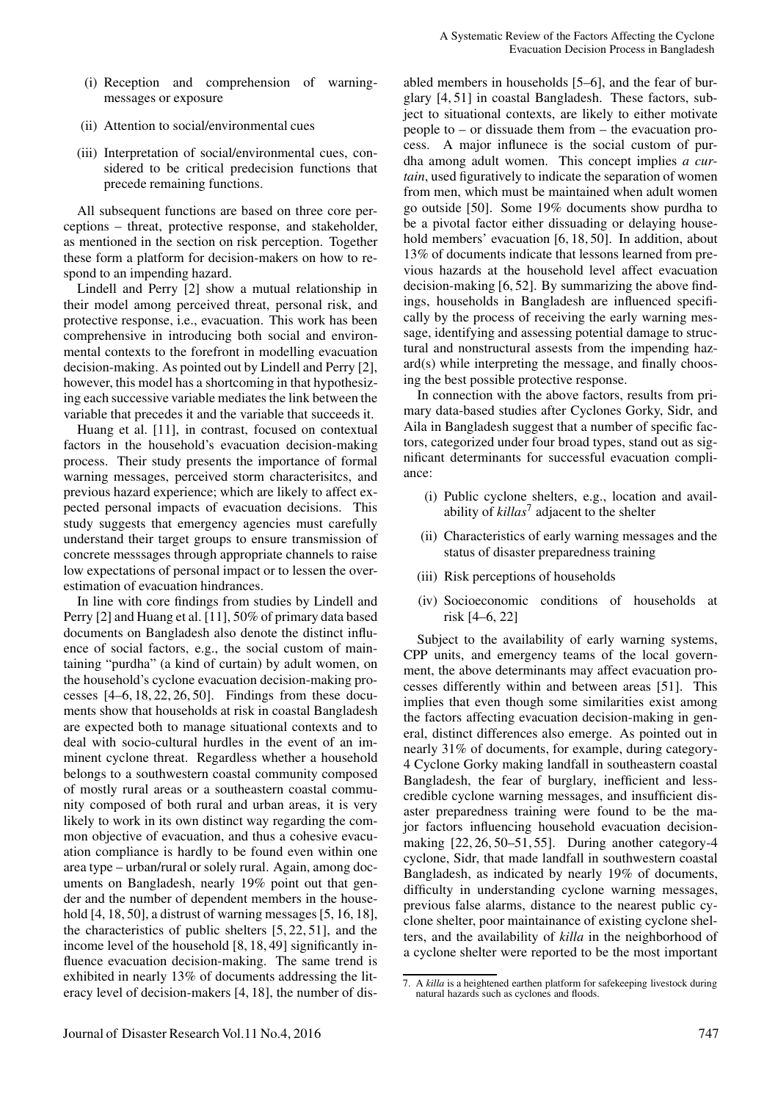- (i) Reception and comprehension of warningmessages or exposure
- (ii) Attention to social/environmental cues
- (iii) Interpretation of social/environmental cues, considered to be critical predecision functions that precede remaining functions.

All subsequent functions are based on three core perceptions – threat, protective response, and stakeholder, as mentioned in the section on risk perception. Together these form a platform for decision-makers on how to respond to an impending hazard.

Lindell and Perry [2] show a mutual relationship in their model among perceived threat, personal risk, and protective response, i.e., evacuation. This work has been comprehensive in introducing both social and environmental contexts to the forefront in modelling evacuation decision-making. As pointed out by Lindell and Perry [2], however, this model has a shortcoming in that hypothesizing each successive variable mediates the link between the variable that precedes it and the variable that succeeds it.

Huang et al. [11], in contrast, focused on contextual factors in the household's evacuation decision-making process. Their study presents the importance of formal warning messages, perceived storm characterisitcs, and previous hazard experience; which are likely to affect expected personal impacts of evacuation decisions. This study suggests that emergency agencies must carefully understand their target groups to ensure transmission of concrete messsages through appropriate channels to raise low expectations of personal impact or to lessen the overestimation of evacuation hindrances.

In line with core findings from studies by Lindell and Perry [2] and Huang et al. [11], 50% of primary data based documents on Bangladesh also denote the distinct influence of social factors, e.g., the social custom of maintaining "purdha" (a kind of curtain) by adult women, on the household's cyclone evacuation decision-making processes [4–6, 18, 22, 26, 50]. Findings from these documents show that households at risk in coastal Bangladesh are expected both to manage situational contexts and to deal with socio-cultural hurdles in the event of an imminent cyclone threat. Regardless whether a household belongs to a southwestern coastal community composed of mostly rural areas or a southeastern coastal community composed of both rural and urban areas, it is very likely to work in its own distinct way regarding the common objective of evacuation, and thus a cohesive evacuation compliance is hardly to be found even within one area type – urban/rural or solely rural. Again, among documents on Bangladesh, nearly 19% point out that gender and the number of dependent members in the household [4, 18, 50], a distrust of warning messages [5, 16, 18], the characteristics of public shelters [5, 22, 51], and the income level of the household [8, 18, 49] significantly influence evacuation decision-making. The same trend is exhibited in nearly 13% of documents addressing the literacy level of decision-makers [4, 18], the number of dis-

abled members in households [5–6], and the fear of burglary [4, 51] in coastal Bangladesh. These factors, subject to situational contexts, are likely to either motivate people to – or dissuade them from – the evacuation process. A major influnece is the social custom of purdha among adult women. This concept implies *a curtain*, used figuratively to indicate the separation of women from men, which must be maintained when adult women go outside [50]. Some 19% documents show purdha to be a pivotal factor either dissuading or delaying household members' evacuation [6, 18, 50]. In addition, about 13% of documents indicate that lessons learned from previous hazards at the household level affect evacuation decision-making [6, 52]. By summarizing the above findings, households in Bangladesh are influenced specifically by the process of receiving the early warning message, identifying and assessing potential damage to structural and nonstructural assests from the impending hazard(s) while interpreting the message, and finally choosing the best possible protective response.

In connection with the above factors, results from primary data-based studies after Cyclones Gorky, Sidr, and Aila in Bangladesh suggest that a number of specific factors, categorized under four broad types, stand out as significant determinants for successful evacuation compliance:

- (i) Public cyclone shelters, e.g., location and availability of *killas*<sup>7</sup> adjacent to the shelter
- (ii) Characteristics of early warning messages and the status of disaster preparedness training
- (iii) Risk perceptions of households
- (iv) Socioeconomic conditions of households at risk [4–6, 22]

Subject to the availability of early warning systems, CPP units, and emergency teams of the local government, the above determinants may affect evacuation processes differently within and between areas [51]. This implies that even though some similarities exist among the factors affecting evacuation decision-making in general, distinct differences also emerge. As pointed out in nearly 31% of documents, for example, during category-4 Cyclone Gorky making landfall in southeastern coastal Bangladesh, the fear of burglary, inefficient and lesscredible cyclone warning messages, and insufficient disaster preparedness training were found to be the major factors influencing household evacuation decisionmaking [22, 26, 50–51, 55]. During another category-4 cyclone, Sidr, that made landfall in southwestern coastal Bangladesh, as indicated by nearly 19% of documents, difficulty in understanding cyclone warning messages, previous false alarms, distance to the nearest public cyclone shelter, poor maintainance of existing cyclone shelters, and the availability of *killa* in the neighborhood of a cyclone shelter were reported to be the most important

<sup>7.</sup> A *killa* is a heightened earthen platform for safekeeping livestock during natural hazards such as cyclones and floods.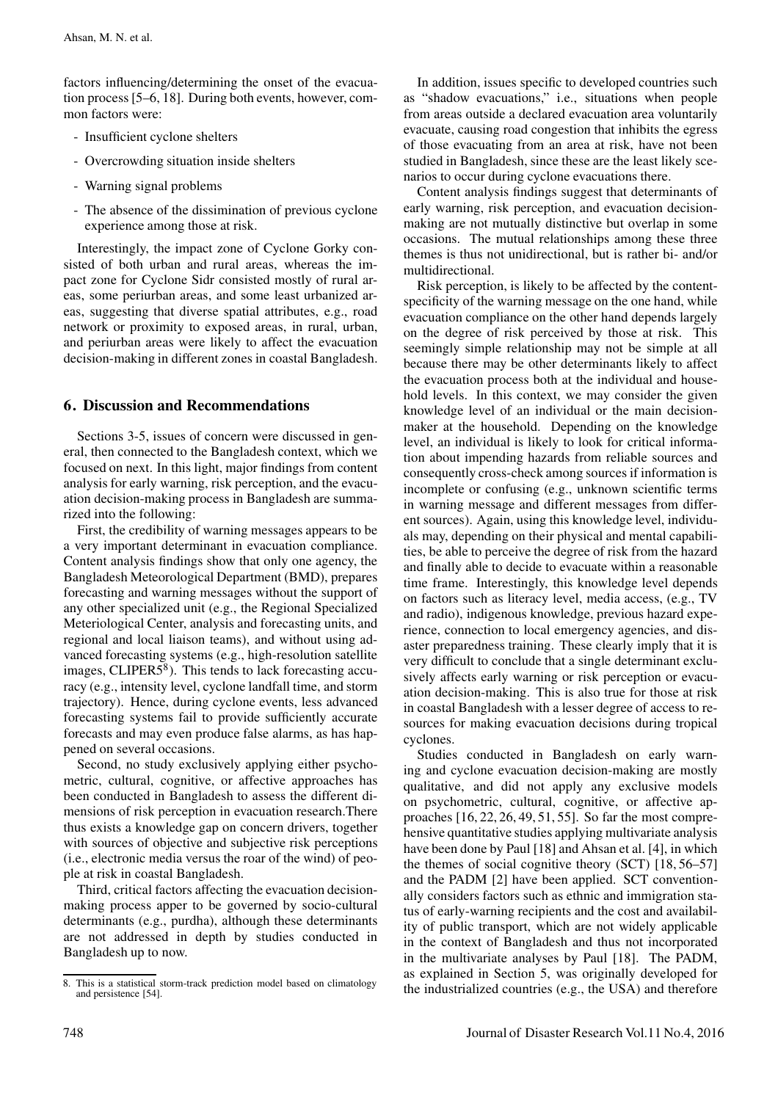factors influencing/determining the onset of the evacuation process [5–6, 18]. During both events, however, common factors were:

- Insufficient cyclone shelters
- Overcrowding situation inside shelters
- Warning signal problems
- The absence of the dissimination of previous cyclone experience among those at risk.

Interestingly, the impact zone of Cyclone Gorky consisted of both urban and rural areas, whereas the impact zone for Cyclone Sidr consisted mostly of rural areas, some periurban areas, and some least urbanized areas, suggesting that diverse spatial attributes, e.g., road network or proximity to exposed areas, in rural, urban, and periurban areas were likely to affect the evacuation decision-making in different zones in coastal Bangladesh.

## 6. Discussion and Recommendations

Sections 3-5, issues of concern were discussed in general, then connected to the Bangladesh context, which we focused on next. In this light, major findings from content analysis for early warning, risk perception, and the evacuation decision-making process in Bangladesh are summarized into the following:

First, the credibility of warning messages appears to be a very important determinant in evacuation compliance. Content analysis findings show that only one agency, the Bangladesh Meteorological Department (BMD), prepares forecasting and warning messages without the support of any other specialized unit (e.g., the Regional Specialized Meteriological Center, analysis and forecasting units, and regional and local liaison teams), and without using advanced forecasting systems (e.g., high-resolution satellite images, CLIPER $5^8$ ). This tends to lack forecasting accuracy (e.g., intensity level, cyclone landfall time, and storm trajectory). Hence, during cyclone events, less advanced forecasting systems fail to provide sufficiently accurate forecasts and may even produce false alarms, as has happened on several occasions.

Second, no study exclusively applying either psychometric, cultural, cognitive, or affective approaches has been conducted in Bangladesh to assess the different dimensions of risk perception in evacuation research.There thus exists a knowledge gap on concern drivers, together with sources of objective and subjective risk perceptions (i.e., electronic media versus the roar of the wind) of people at risk in coastal Bangladesh.

Third, critical factors affecting the evacuation decisionmaking process apper to be governed by socio-cultural determinants (e.g., purdha), although these determinants are not addressed in depth by studies conducted in Bangladesh up to now.

In addition, issues specific to developed countries such as "shadow evacuations," i.e., situations when people from areas outside a declared evacuation area voluntarily evacuate, causing road congestion that inhibits the egress of those evacuating from an area at risk, have not been studied in Bangladesh, since these are the least likely scenarios to occur during cyclone evacuations there.

Content analysis findings suggest that determinants of early warning, risk perception, and evacuation decisionmaking are not mutually distinctive but overlap in some occasions. The mutual relationships among these three themes is thus not unidirectional, but is rather bi- and/or multidirectional.

Risk perception, is likely to be affected by the contentspecificity of the warning message on the one hand, while evacuation compliance on the other hand depends largely on the degree of risk perceived by those at risk. This seemingly simple relationship may not be simple at all because there may be other determinants likely to affect the evacuation process both at the individual and household levels. In this context, we may consider the given knowledge level of an individual or the main decisionmaker at the household. Depending on the knowledge level, an individual is likely to look for critical information about impending hazards from reliable sources and consequently cross-check among sources if information is incomplete or confusing (e.g., unknown scientific terms in warning message and different messages from different sources). Again, using this knowledge level, individuals may, depending on their physical and mental capabilities, be able to perceive the degree of risk from the hazard and finally able to decide to evacuate within a reasonable time frame. Interestingly, this knowledge level depends on factors such as literacy level, media access, (e.g., TV and radio), indigenous knowledge, previous hazard experience, connection to local emergency agencies, and disaster preparedness training. These clearly imply that it is very difficult to conclude that a single determinant exclusively affects early warning or risk perception or evacuation decision-making. This is also true for those at risk in coastal Bangladesh with a lesser degree of access to resources for making evacuation decisions during tropical cyclones.

Studies conducted in Bangladesh on early warning and cyclone evacuation decision-making are mostly qualitative, and did not apply any exclusive models on psychometric, cultural, cognitive, or affective approaches [16, 22, 26, 49, 51, 55]. So far the most comprehensive quantitative studies applying multivariate analysis have been done by Paul [18] and Ahsan et al. [4], in which the themes of social cognitive theory (SCT) [18, 56–57] and the PADM [2] have been applied. SCT conventionally considers factors such as ethnic and immigration status of early-warning recipients and the cost and availability of public transport, which are not widely applicable in the context of Bangladesh and thus not incorporated in the multivariate analyses by Paul [18]. The PADM, as explained in Section 5, was originally developed for the industrialized countries (e.g., the USA) and therefore

<sup>8.</sup> This is a statistical storm-track prediction model based on climatology and persistence [54].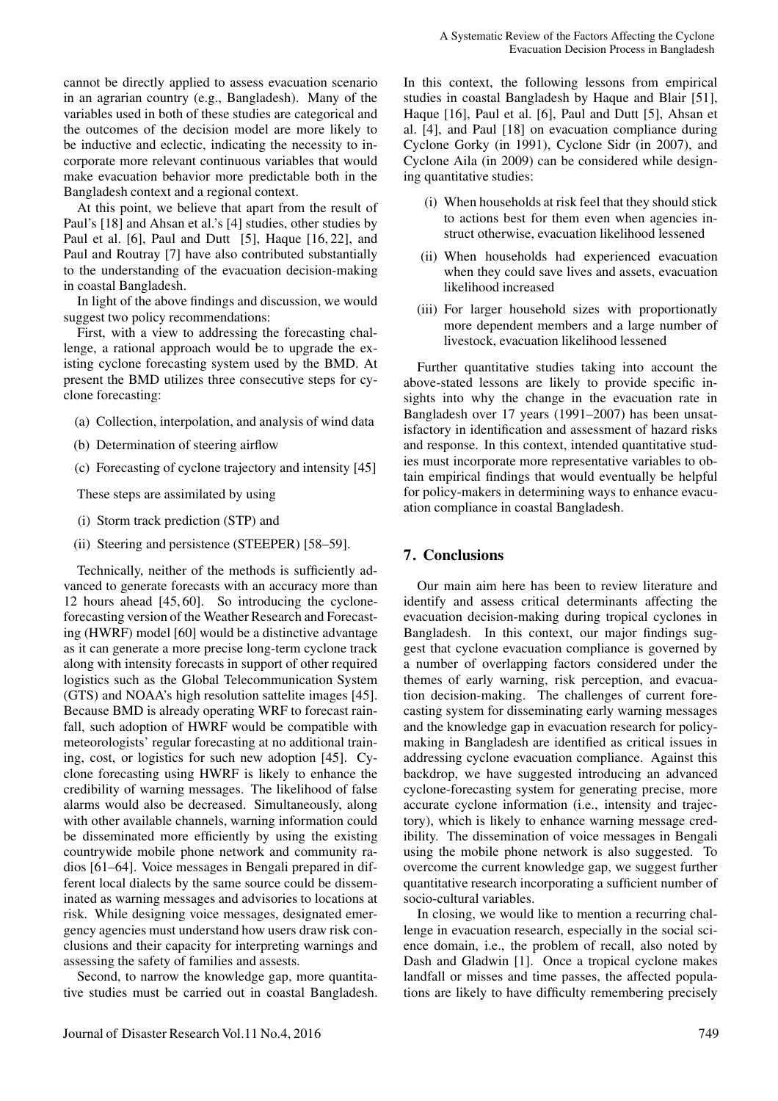cannot be directly applied to assess evacuation scenario in an agrarian country (e.g., Bangladesh). Many of the variables used in both of these studies are categorical and the outcomes of the decision model are more likely to be inductive and eclectic, indicating the necessity to incorporate more relevant continuous variables that would make evacuation behavior more predictable both in the Bangladesh context and a regional context.

At this point, we believe that apart from the result of Paul's [18] and Ahsan et al.'s [4] studies, other studies by Paul et al. [6], Paul and Dutt [5], Haque [16, 22], and Paul and Routray [7] have also contributed substantially to the understanding of the evacuation decision-making in coastal Bangladesh.

In light of the above findings and discussion, we would suggest two policy recommendations:

First, with a view to addressing the forecasting challenge, a rational approach would be to upgrade the existing cyclone forecasting system used by the BMD. At present the BMD utilizes three consecutive steps for cyclone forecasting:

- (a) Collection, interpolation, and analysis of wind data
- (b) Determination of steering airflow
- (c) Forecasting of cyclone trajectory and intensity [45]

These steps are assimilated by using

- (i) Storm track prediction (STP) and
- (ii) Steering and persistence (STEEPER) [58–59].

Technically, neither of the methods is sufficiently advanced to generate forecasts with an accuracy more than 12 hours ahead [45, 60]. So introducing the cycloneforecasting version of the Weather Research and Forecasting (HWRF) model [60] would be a distinctive advantage as it can generate a more precise long-term cyclone track along with intensity forecasts in support of other required logistics such as the Global Telecommunication System (GTS) and NOAA's high resolution sattelite images [45]. Because BMD is already operating WRF to forecast rainfall, such adoption of HWRF would be compatible with meteorologists' regular forecasting at no additional training, cost, or logistics for such new adoption [45]. Cyclone forecasting using HWRF is likely to enhance the credibility of warning messages. The likelihood of false alarms would also be decreased. Simultaneously, along with other available channels, warning information could be disseminated more efficiently by using the existing countrywide mobile phone network and community radios [61–64]. Voice messages in Bengali prepared in different local dialects by the same source could be disseminated as warning messages and advisories to locations at risk. While designing voice messages, designated emergency agencies must understand how users draw risk conclusions and their capacity for interpreting warnings and assessing the safety of families and assests.

Second, to narrow the knowledge gap, more quantitative studies must be carried out in coastal Bangladesh. In this context, the following lessons from empirical studies in coastal Bangladesh by Haque and Blair [51], Haque [16], Paul et al. [6], Paul and Dutt [5], Ahsan et al. [4], and Paul [18] on evacuation compliance during Cyclone Gorky (in 1991), Cyclone Sidr (in 2007), and Cyclone Aila (in 2009) can be considered while designing quantitative studies:

- (i) When households at risk feel that they should stick to actions best for them even when agencies instruct otherwise, evacuation likelihood lessened
- (ii) When households had experienced evacuation when they could save lives and assets, evacuation likelihood increased
- (iii) For larger household sizes with proportionatly more dependent members and a large number of livestock, evacuation likelihood lessened

Further quantitative studies taking into account the above-stated lessons are likely to provide specific insights into why the change in the evacuation rate in Bangladesh over 17 years (1991–2007) has been unsatisfactory in identification and assessment of hazard risks and response. In this context, intended quantitative studies must incorporate more representative variables to obtain empirical findings that would eventually be helpful for policy-makers in determining ways to enhance evacuation compliance in coastal Bangladesh.

### 7. Conclusions

Our main aim here has been to review literature and identify and assess critical determinants affecting the evacuation decision-making during tropical cyclones in Bangladesh. In this context, our major findings suggest that cyclone evacuation compliance is governed by a number of overlapping factors considered under the themes of early warning, risk perception, and evacuation decision-making. The challenges of current forecasting system for disseminating early warning messages and the knowledge gap in evacuation research for policymaking in Bangladesh are identified as critical issues in addressing cyclone evacuation compliance. Against this backdrop, we have suggested introducing an advanced cyclone-forecasting system for generating precise, more accurate cyclone information (i.e., intensity and trajectory), which is likely to enhance warning message credibility. The dissemination of voice messages in Bengali using the mobile phone network is also suggested. To overcome the current knowledge gap, we suggest further quantitative research incorporating a sufficient number of socio-cultural variables.

In closing, we would like to mention a recurring challenge in evacuation research, especially in the social science domain, i.e., the problem of recall, also noted by Dash and Gladwin [1]. Once a tropical cyclone makes landfall or misses and time passes, the affected populations are likely to have difficulty remembering precisely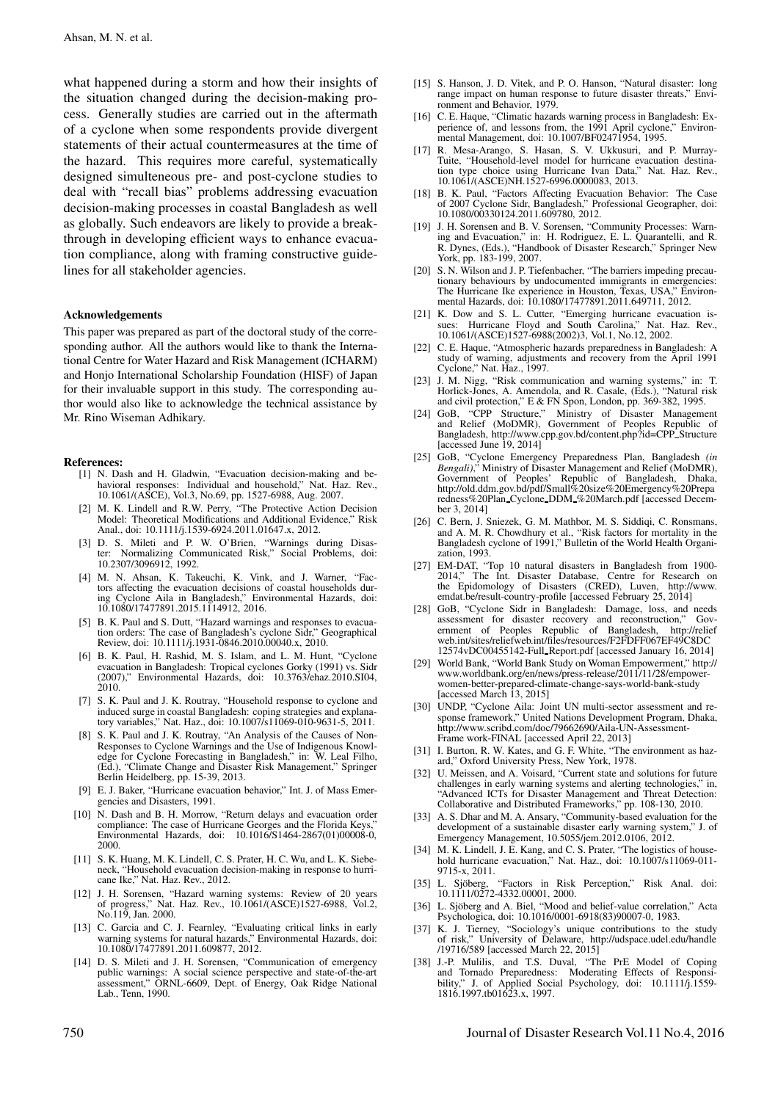what happened during a storm and how their insights of the situation changed during the decision-making process. Generally studies are carried out in the aftermath of a cyclone when some respondents provide divergent statements of their actual countermeasures at the time of the hazard. This requires more careful, systematically designed simulteneous pre- and post-cyclone studies to deal with "recall bias" problems addressing evacuation decision-making processes in coastal Bangladesh as well as globally. Such endeavors are likely to provide a breakthrough in developing efficient ways to enhance evacuation compliance, along with framing constructive guidelines for all stakeholder agencies.

#### Acknowledgements

This paper was prepared as part of the doctoral study of the corresponding author. All the authors would like to thank the International Centre for Water Hazard and Risk Management (ICHARM) and Honjo International Scholarship Foundation (HISF) of Japan for their invaluable support in this study. The corresponding author would also like to acknowledge the technical assistance by Mr. Rino Wiseman Adhikary.

#### References:

- [1] N. Dash and H. Gladwin, "Evacuation decision-making and behavioral responses: Individual and household," Nat. Haz. Rev., 10.1061/(ASCE), Vol.3, No.69, pp. 1527-6988, Aug. 2007.
- M. K. Lindell and R.W. Perry, "The Protective Action Decision Model: Theoretical Modifications and Additional Evidence," Risk Anal., doi: 10.1111/j.1539-6924.2011.01647.x, 2012.
- [3] D. S. Mileti and P. W. O'Brien, "Warnings during Disaster: Normalizing Communicated Risk," Social Problems, doi: 10.2307/3096912, 1992.
- [4] M. N. Ahsan, K. Takeuchi, K. Vink, and J. Warner, "Fac-tors affecting the evacuation decisions of coastal households during Cyclone Aila in Bangladesh," Environmental Hazards, doi: 10.1080/17477891.2015.1114912, 2016.
- [5] B. K. Paul and S. Dutt, "Hazard warnings and responses to evacuation orders: The case of Bangladesh's cyclone Sidr," Geographical Review, doi: 10.1111/j.1931-0846.2010.00040.x, 2010.
- [6] B. K. Paul, H. Rashid, M. S. Islam, and L. M. Hunt, "Cyclone evacuation in Bangladesh: Tropical cyclones Gorky (1991) vs. Sidr (2007)," Environmental Hazards, doi: 10.3763/ehaz.2010.SI04, 2010.
- [7] S. K. Paul and J. K. Routray, "Household response to cyclone and induced surge in coastal Bangladesh: coping strategies and explanatory variables," Nat. Haz., doi: 10.1007/s11069-010-9631-5, 2011.
- [8] S. K. Paul and J. K. Routray, "An Analysis of the Causes of Non-Responses to Cyclone Warnings and the Use of Indigenous Knowledge for Cyclone Forecasting in Bangladesh," in: W. Leal Filho, (Ed.), "Climate Change and Disaster Risk Management," Springer Berlin Heidelberg, pp. 15-39, 2013.
- [9] E. J. Baker, "Hurricane evacuation behavior," Int. J. of Mass Emergencies and Disasters, 1991.
- [10] N. Dash and B. H. Morrow, "Return delays and evacuation order compliance: The case of Hurricane Georges and the Florida Keys Environmental Hazards, doi: 10.1016/S1464-2867(01)00008-0, 2000.
- [11] S. K. Huang, M. K. Lindell, C. S. Prater, H. C. Wu, and L. K. Siebeneck, "Household evacuation decision-making in response to hurricane Ike," Nat. Haz. Rev., 2012.
- [12] J. H. Sorensen, "Hazard warning systems: Review of 20 years of progress," Nat. Haz. Rev., 10.1061/(ASCE)1527-6988, Vol.2, No.119, Jan. 2000.
- [13] C. Garcia and C. J. Fearnley, "Evaluating critical links in early warning systems for natural hazards," Environmental Hazards, doi: 10.1080/17477891.2011.609877, 2012.
- [14] D. S. Mileti and J. H. Sorensen, "Communication of emergency public warnings: A social science perspective and state-of-the-art assessment," ORNL-6609, Dept. of Energy, Oak Ridge National Lab., Tenn, 1990.
- [15] S. Hanson, J. D. Vitek, and P. O. Hanson, "Natural disaster: long range impact on human response to future disaster threats," Environment and Behavior, 1979.
- [16] C. E. Haque, "Climatic hazards warning process in Bangladesh: Experience of, and lessons from, the 1991 April cyclone," Environmental Management, doi: 10.1007/BF02471954, 1995.
- [17] R. Mesa-Arango, S. Hasan, S. V. Ukkusuri, and P. Murray-Tuite, "Household-level model for hurricane evacuation destination type choice using Hurricane Ivan Data," Nat. Haz. Rev., 10.1061/(ASCE)NH.1527-6996.0000083, 2013.
- [18] B. K. Paul, "Factors Affecting Evacuation Behavior: The Case of 2007 Cyclone Sidr, Bangladesh," Professional Geographer, doi: 10.1080/00330124.2011.609780, 2012.
- [19] J. H. Sorensen and B. V. Sorensen, "Community Processes: Warning and Evacuation," in: H. Rodriguez, E. L. Quarantelli, and R. R. Dynes, (Eds.), "Handbook of Disaster Research," Springer New York, pp. 183-199, 2007.
- [20] S. N. Wilson and J. P. Tiefenbacher, "The barriers impeding precautionary behaviours by undocumented immigrants in emergencies: The Hurricane Ike experience in Houston, Texas, USA," Environ-mental Hazards, doi: 10.1080/17477891.2011.649711, 2012.
- [21] K. Dow and S. L. Cutter, "Emerging hurricane evacuation issues: Hurricane Floyd and South Carolina," Nat. Haz. Rev., 10.1061/(ASCE)1527-6988(2002)3, Vol.1, No.12, 2002.
- [22] C. E. Haque, "Atmospheric hazards preparedness in Bangladesh: A study of warning, adjustments and recovery from the April 1991 Cyclone," Nat. Haz., 1997.
- [23] J. M. Nigg, "Risk communication and warning systems," in: T. Horlick-Jones, A. Amendola, and R. Casale, (Eds.), "Natural risk and civil protection," E & FN Spon, London, pp. 369-382, 1995.
- [24] GoB, "CPP Structure," Ministry of Disaster Management and Relief (MoDMR), Government of Peoples Republic of Bangladesh, http://www.cpp.gov.bd/content.php?id=CPP Structure [accessed June 19, 2014]
- [25] GoB, "Cyclone Emergency Preparedness Plan, Bangladesh *(in Bengali)*," Ministry of Disaster Management and Relief (MoDMR), Government of Peoples' Republic of Bangladesh, Dhaka, http://old.ddm.gov.bd/pdf/Small%20size%20Emergency%20Prepa redness%20Plan Cyclone DDM %20March.pdf [accessed December 3, 2014]
- [26] C. Bern, J. Sniezek, G. M. Mathbor, M. S. Siddiqi, C. Ronsmans, and A. M. R. Chowdhury et al., "Risk factors for mortality in the Bangladesh cyclone of 1991," Bulletin of the World Health Organization, 1993.
- [27] EM-DAT, "Top 10 natural disasters in Bangladesh from 1900- 2014," The Int. Disaster Database, Centre for Research on the Epidomology of Disasters (CRED). Luven. http://www. the Epidomology of Disasters (CRED), Luven, emdat.be/result-country-profile [accessed February 25, 2014]
- [28] GoB, "Cyclone Sidr in Bangladesh: Damage, loss, and needs assessment for disaster recovery and reconstruction," Gov-ernment of Peoples Republic of Bangladesh, http://relief web.int/sites/reliefweb.int/files/resources/F2FDFF067EF49C8DC 12574vDC00455142-Full Report.pdf [accessed January 16, 2014]
- [29] World Bank, "World Bank Study on Woman Empowerment," http:// www.worldbank.org/en/news/press-release/2011/11/28/empowerwomen-better-prepared-climate-change-says-world-bank-study [accessed March 13, 2015]
- [30] UNDP, "Cyclone Aila: Joint UN multi-sector assessment and response framework," United Nations Development Program, Dhaka, http://www.scribd.com/doc/79662690/Aila-UN-Assessment-Frame work-FINAL [accessed April 22, 2013]
- [31] I. Burton, R. W. Kates, and G. F. White, "The environment as hazard," Oxford University Press, New York, 1978.
- [32] U. Meissen, and A. Voisard, "Current state and solutions for future challenges in early warning systems and alerting technologies," in, "Advanced ICTs for Disaster Management and Threat Detection: Collaborative and Distributed Frameworks," pp. 108-130, 2010.
- [33] A. S. Dhar and M. A. Ansary, "Community-based evaluation for the development of a sustainable disaster early warning system," J. of Emergency Management, 10.5055/jem.2012.0106, 2012.
- M. K. Lindell, J. E. Kang, and C. S. Prater, "The logistics of household hurricane evacuation," Nat. Haz., doi: 10.1007/s11069-011- 9715-x, 2011.
- "Factors in Risk Perception," Risk Anal. doi: [35] L. Sjöberg, "Factors in Risk<br>10.1111/0272-4332.00001, 2000.
- [36] L. Sjöberg and A. Biel, "Mood and belief-value correlation," Acta Psychologica, doi: 10.1016/0001-6918(83)90007-0, 1983.
- [37] K. J. Tierney, "Sociology's unique contributions to the study of risk," University of Delaware, http://udspace.udel.edu/handle http://udspace.udel.edu/handle /19716/589 [accessed March 22, 2015]
- [38] J.-P. Mulilis, and T.S. Duval, "The PrE Model of Coping and Tornado Preparedness: Moderating Effects of Responsi-bility," J. of Applied Social Psychology, doi: 10.1111/j.1559- 1816.1997.tb01623.x, 1997.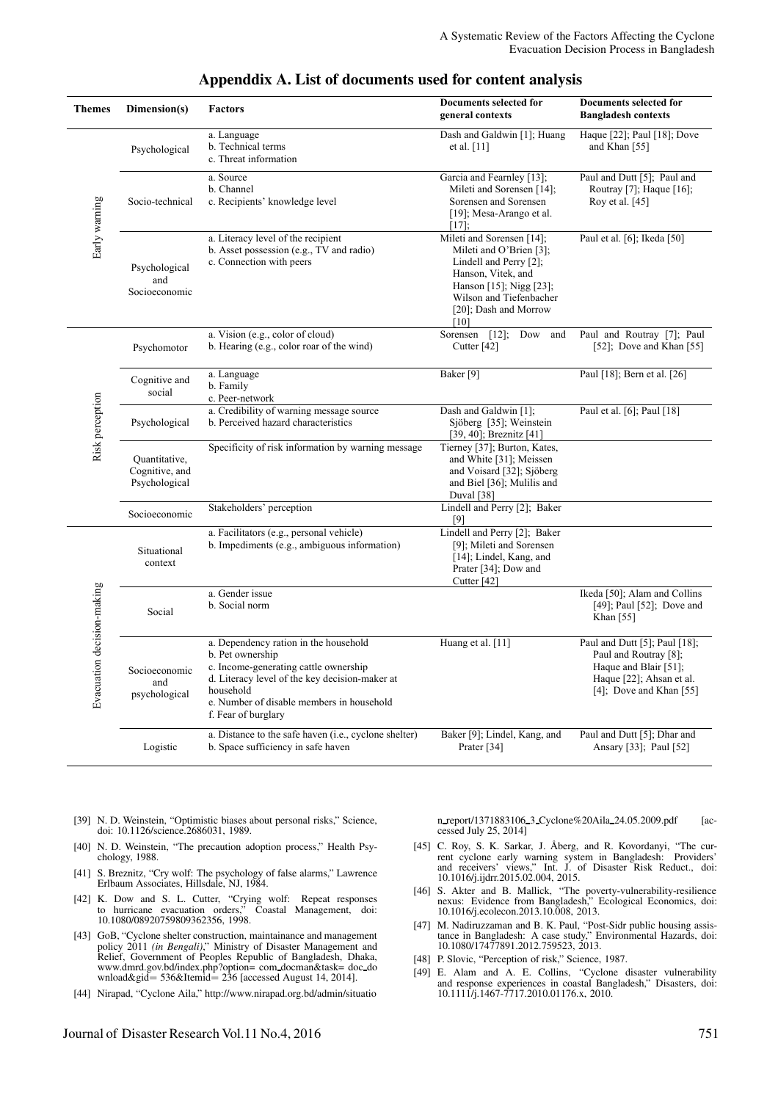| <b>Themes</b>              | Dimension(s)                                     | <b>Factors</b>                                                                                                                                                                                                                        | Documents selected for<br>general contexts                                                                                                                                                  | Documents selected for<br><b>Bangladesh contexts</b>                                                                                        |
|----------------------------|--------------------------------------------------|---------------------------------------------------------------------------------------------------------------------------------------------------------------------------------------------------------------------------------------|---------------------------------------------------------------------------------------------------------------------------------------------------------------------------------------------|---------------------------------------------------------------------------------------------------------------------------------------------|
| Early warning              | Psychological                                    | a. Language<br>b. Technical terms<br>c. Threat information                                                                                                                                                                            | Dash and Galdwin [1]; Huang<br>et al. [11]                                                                                                                                                  | Haque [22]; Paul [18]; Dove<br>and Khan [55]                                                                                                |
|                            | Socio-technical                                  | a. Source<br>b. Channel<br>c. Recipients' knowledge level                                                                                                                                                                             | Garcia and Fearnley [13];<br>Mileti and Sorensen [14];<br>Sorensen and Sorensen<br>[19]; Mesa-Arango et al.<br>$[17]$ ;                                                                     | Paul and Dutt [5]; Paul and<br>Routray [7]; Haque [16];<br>Roy et al. $[45]$                                                                |
|                            | Psychological<br>and<br>Socioeconomic            | a. Literacy level of the recipient<br>b. Asset possession (e.g., TV and radio)<br>c. Connection with peers                                                                                                                            | Mileti and Sorensen [14];<br>Mileti and O'Brien [3];<br>Lindell and Perry [2];<br>Hanson, Vitek, and<br>Hanson [15]; Nigg [23];<br>Wilson and Tiefenbacher<br>[20]; Dash and Morrow<br>[10] | Paul et al. [6]; Ikeda [50]                                                                                                                 |
| Risk perception            | Psychomotor                                      | a. Vision (e.g., color of cloud)<br>b. Hearing (e.g., color roar of the wind)                                                                                                                                                         | Dow<br>Sorensen $[12]$ ;<br>and<br>Cutter [42]                                                                                                                                              | Paul and Routray [7]; Paul<br>[52]; Dove and Khan [55]                                                                                      |
|                            | Cognitive and<br>social                          | a. Language<br>b. Family<br>c. Peer-network                                                                                                                                                                                           | Baker <sup>[9]</sup>                                                                                                                                                                        | Paul [18]; Bern et al. [26]                                                                                                                 |
|                            | Psychological                                    | a. Credibility of warning message source<br>b. Perceived hazard characteristics                                                                                                                                                       | Dash and Galdwin [1];<br>Sjöberg [35]; Weinstein<br>$[39, 40]$ ; Breznitz $[41]$                                                                                                            | Paul et al. [6]; Paul [18]                                                                                                                  |
|                            | Quantitative,<br>Cognitive, and<br>Psychological | Specificity of risk information by warning message                                                                                                                                                                                    | Tierney [37]; Burton, Kates,<br>and White [31]; Meissen<br>and Voisard [32]; Sjöberg<br>and Biel [36]; Mulilis and<br>Duval [38]                                                            |                                                                                                                                             |
|                            | Socioeconomic                                    | Stakeholders' perception                                                                                                                                                                                                              | Lindell and Perry [2]; Baker<br>[9]                                                                                                                                                         |                                                                                                                                             |
| Evacuation decision-making | Situational<br>context                           | a. Facilitators (e.g., personal vehicle)<br>b. Impediments (e.g., ambiguous information)                                                                                                                                              | Lindell and Perry [2]; Baker<br>[9]; Mileti and Sorensen<br>[14]; Lindel, Kang, and<br>Prater [34]; Dow and<br>Cutter [42]                                                                  |                                                                                                                                             |
|                            | Social                                           | a. Gender issue<br>b. Social norm                                                                                                                                                                                                     |                                                                                                                                                                                             | Ikeda [50]; Alam and Collins<br>[49]; Paul [52]; Dove and<br>Khan $[55]$                                                                    |
|                            | Socioeconomic<br>and<br>psychological            | a. Dependency ration in the household<br>b. Pet ownership<br>c. Income-generating cattle ownership<br>d. Literacy level of the key decision-maker at<br>household<br>e. Number of disable members in household<br>f. Fear of burglary | Huang et al. [11]                                                                                                                                                                           | Paul and Dutt [5]; Paul [18];<br>Paul and Routray [8];<br>Haque and Blair [51];<br>Haque [22]; Ahsan et al.<br>$[4]$ ; Dove and Khan $[55]$ |
|                            | Logistic                                         | a. Distance to the safe haven (i.e., cyclone shelter)<br>b. Space sufficiency in safe haven                                                                                                                                           | Baker [9]; Lindel, Kang, and<br>Prater [34]                                                                                                                                                 | Paul and Dutt [5]; Dhar and<br>Ansary [33]; Paul [52]                                                                                       |

## Appenddix A. List of documents used for content analysis

- [39] N. D. Weinstein, "Optimistic biases about personal risks," Science, doi: 10.1126/science.2686031, 1989.
- [40] N. D. Weinstein, "The precaution adoption process," Health Psychology, 1988.
- [41] S. Breznitz, "Cry wolf: The psychology of false alarms," Lawrence Erlbaum Associates, Hillsdale, NJ, 1984.
- [42] K. Dow and S. L. Cutter, "Crying wolf: Repeat responses to hurricane evacuation orders," Coastal Management, doi: 10.1080/08920759809362356, 1998.
- [43] GoB, "Cyclone shelter construction, maintainance and management policy 2011 *(in Bengali)*," Ministry of Disaster Management and Relief, Government of Peoples Republic of Bangladesh, Dhaka, www.dmrd.gov.bd/index.php?option= com docman&task= doc do wnload $\&$ gid = 536 $\&$ Itemid = 236 [accessed August 14, 2014].
- [44] Nirapad, "Cyclone Aila," http://www.nirapad.org.bd/admin/situatio

n\_report/1371883106\_3\_Cyclone%20Aila\_24.05.2009.pdf [accessed July 25, 2014]

- [45] C. Roy, S. K. Sarkar, J. Åberg, and R. Kovordanyi, "The current cyclone early warning system in Bangladesh: Providers' and receivers' views," Int. J. of Disaster Risk Reduct., doi: 10.1016/j.ijdrr.2015.02.004, 2015.
- [46] S. Akter and B. Mallick, "The poverty-vulnerability-resilience nexus: Evidence from Bangladesh," Ecological Economics, doi: 10.1016/j.ecolecon.2013.10.008, 2013.
- [47] M. Nadiruzzaman and B. K. Paul, "Post-Sidr public housing assistance in Bangladesh: A case study," Environmental Hazards, doi: 10.1080/17477891.2012.759523, 2013.
- [48] P. Slovic, "Perception of risk," Science, 1987.
- [49] E. Alam and A. E. Collins, "Cyclone disaster vulnerability and response experiences in coastal Bangladesh," Disasters, doi: 10.1111/j.1467-7717.2010.01176.x, 2010.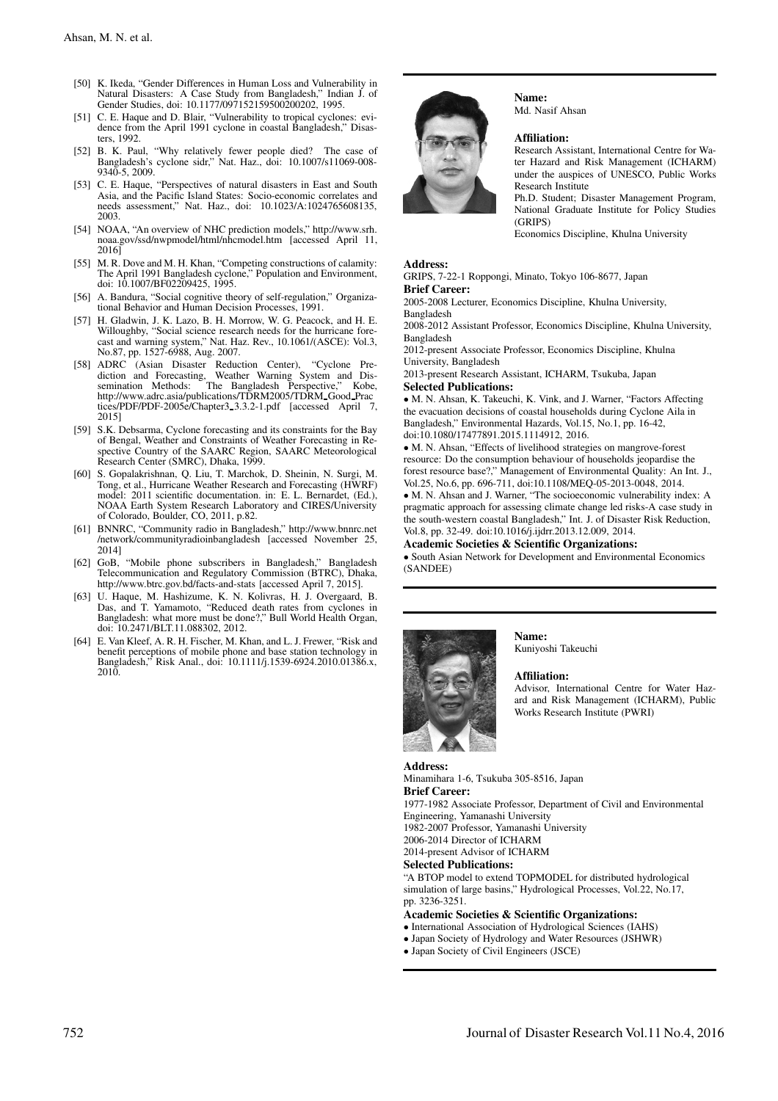- [50] K. Ikeda, "Gender Differences in Human Loss and Vulnerability in Natural Disasters: A Case Study from Bangladesh," Indian J. of Gender Studies, doi: 10.1177/097152159500200202, 1995.
- [51] C. E. Haque and D. Blair, "Vulnerability to tropical cyclones: evidence from the April 1991 cyclone in coastal Bangladesh," Disasters, 1992.
- [52] B. K. Paul, "Why relatively fewer people died? The case of Bangladesh's cyclone sidr," Nat. Haz., doi: 10.1007/s11069-008- 9340-5, 2009.
- [53] C. E. Haque, "Perspectives of natural disasters in East and South Asia, and the Pacific Island States: Socio-economic correlates and needs assessment," Nat. Haz., doi: 10.1023/A:1024765608135, 2003.
- [54] NOAA, "An overview of NHC prediction models," http://www.srh. noaa.gov/ssd/nwpmodel/html/nhcmodel.htm [accessed April 11, 2016]
- [55] M. R. Dove and M. H. Khan, "Competing constructions of calamity: The April 1991 Bangladesh cyclone," Population and Environment, doi: 10.1007/BF02209425, 1995.
- [56] A. Bandura, "Social cognitive theory of self-regulation," Organizational Behavior and Human Decision Processes, 1991.
- [57] H. Gladwin, J. K. Lazo, B. H. Morrow, W. G. Peacock, and H. E. Willoughby, "Social science research needs for the hurricane forecast and warning system," Nat. Haz. Rev., 10.1061/(ASCE): Vol.3, No.87, pp. 1527-6988, Aug. 2007.
- [58] ADRC (Asian Disaster Reduction Center), "Cyclone Pre-diction and Forecasting, Weather Warning System and Dissemination Methods: The Bangladesh Perspective," Kobe, http://www.adrc.asia/publications/TDRM2005/TDRM\_Good\_Prac tices/PDF/PDF-2005e/Chapter3 3.3.2-1.pdf [accessed April 7, 2015]
- [59] S.K. Debsarma, Cyclone forecasting and its constraints for the Bay of Bengal, Weather and Constraints of Weather Forecasting in Respective Country of the SAARC Region, SAARC Meteorological Research Center (SMRC), Dhaka, 1999.
- [60] S. Gopalakrishnan, Q. Liu, T. Marchok, D. Sheinin, N. Surgi, M. Tong, et al., Hurricane Weather Research and Forecasting (HWRF) model: 2011 scientific documentation. in: E. L. Bernardet, (Ed.), NOAA Earth System Research Laboratory and CIRES/University of Colorado, Boulder, CO, 2011, p.82.
- [61] BNNRC, "Community radio in Bangladesh," http://www.bnnrc.net /network/communityradioinbangladesh [accessed November 25, 2014]
- [62] GoB, "Mobile phone subscribers in Bangladesh," Bangladesh Telecommunication and Regulatory Commission (BTRC), Dhaka, http://www.btrc.gov.bd/facts-and-stats [accessed April 7, 2015].
- [63] U. Haque, M. Hashizume, K. N. Kolivras, H. J. Overgaard, B. Das, and T. Yamamoto, "Reduced death rates from cyclones in Bangladesh: what more must be done?," Bull World Health Organ, doi: 10.2471/BLT.11.088302, 2012.
- [64] E. Van Kleef, A. R. H. Fischer, M. Khan, and L. J. Frewer, "Risk and benefit perceptions of mobile phone and base station technology in Bangladesh," Risk Anal., doi: 10.1111/j.1539-6924.2010.01386.x, 2010.



Name: Md. Nasif Ahsan

#### Affiliation:

Research Assistant, International Centre for Water Hazard and Risk Management (ICHARM) under the auspices of UNESCO, Public Works Research Institute

Ph.D. Student; Disaster Management Program, National Graduate Institute for Policy Studies (GRIPS)

Economics Discipline, Khulna University

### Address:

GRIPS, 7-22-1 Roppongi, Minato, Tokyo 106-8677, Japan Brief Career:

2005-2008 Lecturer, Economics Discipline, Khulna University, Bangladesh

2008-2012 Assistant Professor, Economics Discipline, Khulna University, Bangladesh

2012-present Associate Professor, Economics Discipline, Khulna University, Bangladesh

2013-present Research Assistant, ICHARM, Tsukuba, Japan Selected Publications:

• M. N. Ahsan, K. Takeuchi, K. Vink, and J. Warner, "Factors Affecting the evacuation decisions of coastal households during Cyclone Aila in Bangladesh," Environmental Hazards, Vol.15, No.1, pp. 16-42, doi:10.1080/17477891.2015.1114912, 2016.

• M. N. Ahsan, "Effects of livelihood strategies on mangrove-forest resource: Do the consumption behaviour of households jeopardise the forest resource base?," Management of Environmental Quality: An Int. J., Vol.25, No.6, pp. 696-711, doi:10.1108/MEQ-05-2013-0048, 2014.

• M. N. Ahsan and J. Warner, "The socioeconomic vulnerability index: A pragmatic approach for assessing climate change led risks-A case study in the south-western coastal Bangladesh," Int. J. of Disaster Risk Reduction, Vol.8, pp. 32-49. doi:10.1016/j.ijdrr.2013.12.009, 2014.

#### Academic Societies & Scientific Organizations:

• South Asian Network for Development and Environmental Economics (SANDEE)



Name: Kuniyoshi Takeuchi

#### Affiliation:

Advisor, International Centre for Water Hazard and Risk Management (ICHARM), Public Works Research Institute (PWRI)

#### Address:

Minamihara 1-6, Tsukuba 305-8516, Japan Brief Career: 1977-1982 Associate Professor, Department of Civil and Environmental

Engineering, Yamanashi University

1982-2007 Professor, Yamanashi University

2006-2014 Director of ICHARM

2014-present Advisor of ICHARM

Selected Publications:

"A BTOP model to extend TOPMODEL for distributed hydrological simulation of large basins," Hydrological Processes, Vol.22, No.17, pp. 3236-3251.

Academic Societies & Scientific Organizations:

- International Association of Hydrological Sciences (IAHS)
- Japan Society of Hydrology and Water Resources (JSHWR)
- Japan Society of Civil Engineers (JSCE)